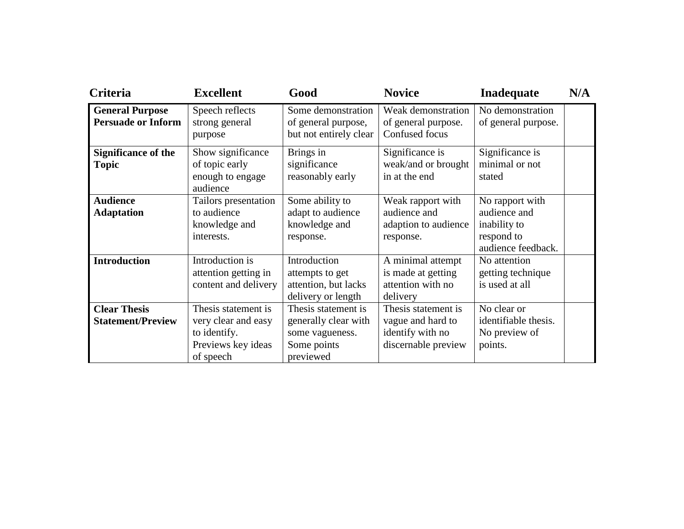| <b>Criteria</b>                                     | <b>Excellent</b>                                                                              | Good                                                                                       | <b>Novice</b>                                                                       | Inadequate                                                                          | N/A |
|-----------------------------------------------------|-----------------------------------------------------------------------------------------------|--------------------------------------------------------------------------------------------|-------------------------------------------------------------------------------------|-------------------------------------------------------------------------------------|-----|
| <b>General Purpose</b><br><b>Persuade or Inform</b> | Speech reflects<br>strong general<br>purpose                                                  | Some demonstration<br>of general purpose,<br>but not entirely clear                        | Weak demonstration<br>of general purpose.<br>Confused focus                         | No demonstration<br>of general purpose.                                             |     |
| <b>Significance of the</b><br><b>Topic</b>          | Show significance<br>of topic early<br>enough to engage<br>audience                           | Brings in<br>significance<br>reasonably early                                              | Significance is<br>weak/and or brought<br>in at the end                             | Significance is<br>minimal or not<br>stated                                         |     |
| <b>Audience</b><br><b>Adaptation</b>                | Tailors presentation<br>to audience<br>knowledge and<br>interests.                            | Some ability to<br>adapt to audience<br>knowledge and<br>response.                         | Weak rapport with<br>audience and<br>adaption to audience<br>response.              | No rapport with<br>audience and<br>inability to<br>respond to<br>audience feedback. |     |
| <b>Introduction</b>                                 | Introduction is<br>attention getting in<br>content and delivery                               | Introduction<br>attempts to get<br>attention, but lacks<br>delivery or length              | A minimal attempt<br>is made at getting<br>attention with no<br>delivery            | No attention<br>getting technique<br>is used at all                                 |     |
| <b>Clear Thesis</b><br><b>Statement/Preview</b>     | Thesis statement is<br>very clear and easy<br>to identify.<br>Previews key ideas<br>of speech | Thesis statement is<br>generally clear with<br>some vagueness.<br>Some points<br>previewed | Thesis statement is<br>vague and hard to<br>identify with no<br>discernable preview | No clear or<br>identifiable thesis.<br>No preview of<br>points.                     |     |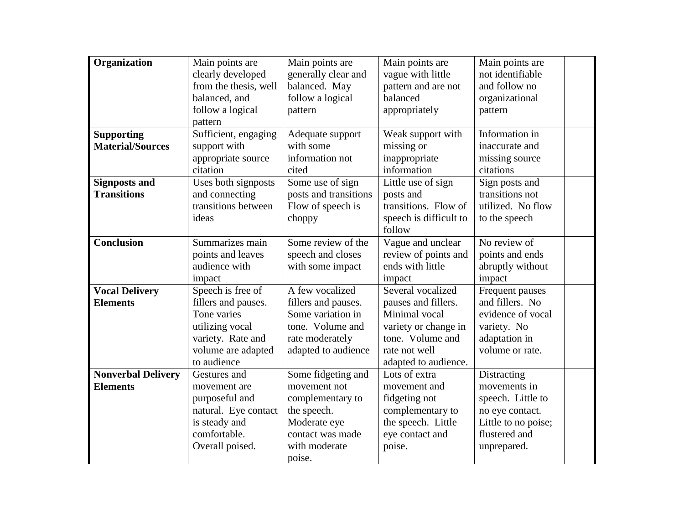| Organization                                 | Main points are<br>clearly developed<br>from the thesis, well<br>balanced, and<br>follow a logical<br>pattern                        | Main points are<br>generally clear and<br>balanced. May<br>follow a logical<br>pattern                                               | Main points are<br>vague with little<br>pattern and are not<br>balanced<br>appropriately                                                       | Main points are<br>not identifiable<br>and follow no<br>organizational<br>pattern                                          |
|----------------------------------------------|--------------------------------------------------------------------------------------------------------------------------------------|--------------------------------------------------------------------------------------------------------------------------------------|------------------------------------------------------------------------------------------------------------------------------------------------|----------------------------------------------------------------------------------------------------------------------------|
| <b>Supporting</b><br><b>Material/Sources</b> | Sufficient, engaging<br>support with<br>appropriate source<br>citation                                                               | Adequate support<br>with some<br>information not<br>cited                                                                            | Weak support with<br>missing or<br>inappropriate<br>information                                                                                | Information in<br>inaccurate and<br>missing source<br>citations                                                            |
| <b>Signposts and</b><br><b>Transitions</b>   | Uses both signposts<br>and connecting<br>transitions between<br>ideas                                                                | Some use of sign<br>posts and transitions<br>Flow of speech is<br>choppy                                                             | Little use of sign<br>posts and<br>transitions. Flow of<br>speech is difficult to<br>follow                                                    | Sign posts and<br>transitions not<br>utilized. No flow<br>to the speech                                                    |
| <b>Conclusion</b>                            | Summarizes main<br>points and leaves<br>audience with<br>impact                                                                      | Some review of the<br>speech and closes<br>with some impact                                                                          | Vague and unclear<br>review of points and<br>ends with little<br>impact                                                                        | No review of<br>points and ends<br>abruptly without<br>impact                                                              |
| <b>Vocal Delivery</b><br><b>Elements</b>     | Speech is free of<br>fillers and pauses.<br>Tone varies<br>utilizing vocal<br>variety. Rate and<br>volume are adapted<br>to audience | A few vocalized<br>fillers and pauses.<br>Some variation in<br>tone. Volume and<br>rate moderately<br>adapted to audience            | Several vocalized<br>pauses and fillers.<br>Minimal vocal<br>variety or change in<br>tone. Volume and<br>rate not well<br>adapted to audience. | Frequent pauses<br>and fillers. No<br>evidence of vocal<br>variety. No<br>adaptation in<br>volume or rate.                 |
| <b>Nonverbal Delivery</b><br><b>Elements</b> | Gestures and<br>movement are<br>purposeful and<br>natural. Eye contact<br>is steady and<br>comfortable.<br>Overall poised.           | Some fidgeting and<br>movement not<br>complementary to<br>the speech.<br>Moderate eye<br>contact was made<br>with moderate<br>poise. | Lots of extra<br>movement and<br>fidgeting not<br>complementary to<br>the speech. Little<br>eye contact and<br>poise.                          | Distracting<br>movements in<br>speech. Little to<br>no eye contact.<br>Little to no poise;<br>flustered and<br>unprepared. |